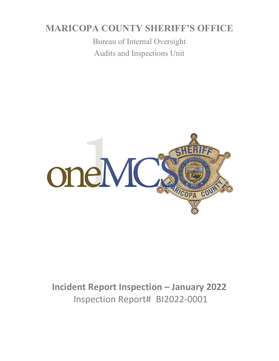# **MARICOPA COUNTY SHERIFF'S OFFICE**

Bureau of Internal Oversight Audits and Inspections Unit



**Incident Report Inspection – January 2022** Inspection Report# BI2022-0001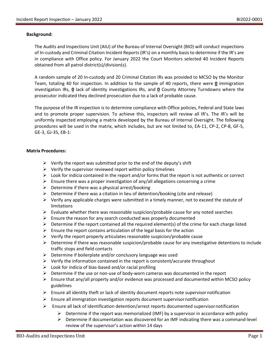#### **Background:**

The Audits and Inspections Unit (AIU) of the Bureau of Internal Oversight (BIO) will conduct inspections of In-custody and Criminal Citation Incident Reports (IR's) on a monthly basis to determine if the IR's are in compliance with Office policy. For January 2022 the Court Monitors selected 40 Incident Reports obtained from all patrol district(s)/division(s).

A random sample of 20 In-custody and 20 Criminal Citation IRs was provided to MCSO by the Monitor Team, totaling 40 for inspection. In addition to the sample of 40 reports, there were **0** immigration investigation IRs, **0** lack of identity investigations IRs, and **0** County Attorney Turndowns where the prosecutor indicated they declined prosecution due to a lack of probable cause.

The purpose of the IR inspection is to determine compliance with Office policies, Federal and State laws and to promote proper supervision. To achieve this, inspectors will review all IR's. The IR's will be uniformly inspected employing a matrix developed by the Bureau of Internal Oversight. The following procedures will be used in the matrix, which includes, but are not limited to, EA-11, CP-2, CP-8, GF-5, GE-3, GJ-35, EB-1:

#### **Matrix Procedures:**

- $\triangleright$  Verify the report was submitted prior to the end of the deputy's shift
- $\triangleright$  Verify the supervisor reviewed report within policy timelines
- $\triangleright$  Look for indicia contained in the report and/or forms that the report is not authentic or correct
- $\triangleright$  Ensure there was a proper investigation of any/all allegations concerning a crime
- $\triangleright$  Determine if there was a physical arrest/booking
- $\triangleright$  Determine if there was a citation in lieu of detention/booking (cite and release)
- $\triangleright$  Verify any applicable charges were submitted in a timely manner, not to exceed the statute of limitations
- $\triangleright$  Evaluate whether there was reasonable suspicion/probable cause for any noted searches
- $\triangleright$  Ensure the reason for any search conducted was properly documented
- $\triangleright$  Determine if the report contained all the required element(s) of the crime for each charge listed
- $\triangleright$  Ensure the report contains articulation of the legal basis for the action
- $\triangleright$  Verify the report properly articulates reasonable suspicion/probable cause
- $\triangleright$  Determine if there was reasonable suspicion/probable cause for any investigative detentions to include traffic stops and field contacts
- $\triangleright$  Determine if boilerplate and/or conclusory language was used
- $\triangleright$  Verify the information contained in the report is consistent/accurate throughout
- $\triangleright$  Look for indicia of bias-based and/or racial profiling
- $\triangleright$  Determine if the use or non-use of body-worn cameras was documented in the report
- $\triangleright$  Ensure that any/all property and/or evidence was processed and documented within MCSO policy guidelines
- $\triangleright$  Ensure all identity theft or lack of identity document reports note supervisor notification
- $\triangleright$  Ensure all immigration investigation reports document supervisor notification
- $\triangleright$  Ensure all lack of identification detention/arrest reports documented supervisor notification
	- $\triangleright$  Determine if the report was memorialized (IMF) by a supervisor in accordance with policy
		- ➢ Determine if documentation was discovered for an IMF indicating there was a command-level review of the supervisor's action within 14 days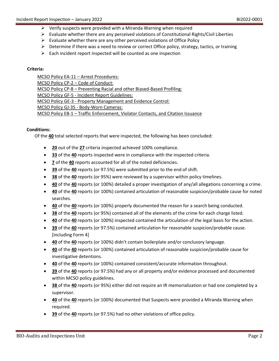- $\triangleright$  Verify suspects were provided with a Miranda Warning when required
- $\triangleright$  Evaluate whether there are any perceived violations of Constitutional Rights/Civil Liberties
- $\triangleright$  Evaluate whether there are any other perceived violations of Office Policy
- $\triangleright$  Determine if there was a need to review or correct Office policy, strategy, tactics, or training
- $\triangleright$  Each incident report inspected will be counted as one inspection

#### **Criteria:**

MCSO Policy EA-11 – Arrest Procedures: MCSO Policy CP-2 – Code of Conduct: MCSO Policy CP-8 – Preventing Racial and other Biased-Based Profiling: MCSO Policy GF-5 - Incident Report Guidelines: MCSO Policy GE-3 - Property Management and Evidence Control: MCSO Policy GJ-35 - Body-Worn Cameras: MCSO Policy EB-1 – Traffic Enforcement, Violator Contacts, and Citation Issuance

#### **Conditions:**

Of the **40** total selected reports that were inspected, the following has been concluded:

- **20** out of the **27** criteria inspected achieved 100% compliance.
- **33** of the **40** reports inspected were in compliance with the inspected criteria.
- **7** of the **40** reports accounted for all of the noted deficiencies.
- **39** of the **40** reports (or 97.5%) were submitted prior to the end of shift.
- **38** of the **40** reports (or 95%) were reviewed by a supervisor within policy timelines.
- **40** of the **40** reports (or 100%) detailed a proper investigation of any/all allegations concerning a crime.
- **40** of the **40** reports (or 100%) contained articulation of reasonable suspicion/probable cause for noted searches.
- **40** of the **40** reports (or 100%) properly documented the reason for a search being conducted.
- **38** of the **40** reports (or 95%) contained all of the elements of the crime for each charge listed.
- **40** of the **40** reports (or 100%) inspected contained the articulation of the legal basis for the action.
- **39** of the **40** reports (or 97.5%) contained articulation for reasonable suspicion/probable cause. [including Form 4]
- **40** of the **40** reports (or 100%) didn't contain boilerplate and/or conclusory language.
- **40** of the **40** reports (or 100%) contained articulation of reasonable suspicion/probable cause for investigative detentions.
- **40** of the **40** reports (or 100%) contained consistent/accurate information throughout.
- **39** of the **40** reports (or 97.5%) had any or all property and/or evidence processed and documented within MCSO policy guidelines.
- **38** of the **40** reports (or 95%) either did not require an IR memorialization or had one completed by a supervisor.
- **40** of the **40** reports (or 100%) documented that Suspects were provided a Miranda Warning when required.
- **39** of the **40** reports (or 97.5%) had no other violations of office policy.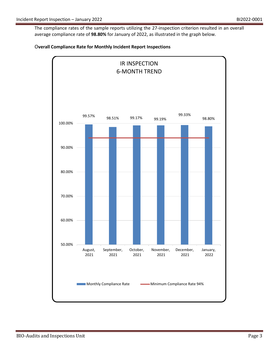The compliance rates of the sample reports utilizing the 27-inspection criterion resulted in an overall average compliance rate of **98.80%** for January of 2022, as illustrated in the graph below.



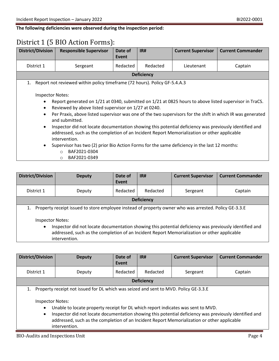**The following deficiencies were observed during the inspection period:**

## District 1 (5 BIO Action Forms):

| <b>District/Division</b>                                                                 | <b>Responsible Supervisor</b>                                                                                                                                                                                                                                                                                                                                                                                                                                                                                                                                                                                                                                                  | Date of<br>Event | IR#      | <b>Current Supervisor</b> | <b>Current Commander</b> |  |  |  |
|------------------------------------------------------------------------------------------|--------------------------------------------------------------------------------------------------------------------------------------------------------------------------------------------------------------------------------------------------------------------------------------------------------------------------------------------------------------------------------------------------------------------------------------------------------------------------------------------------------------------------------------------------------------------------------------------------------------------------------------------------------------------------------|------------------|----------|---------------------------|--------------------------|--|--|--|
| District 1                                                                               | Sergeant                                                                                                                                                                                                                                                                                                                                                                                                                                                                                                                                                                                                                                                                       | Redacted         | Redacted | Lieutenant                | Captain                  |  |  |  |
|                                                                                          | <b>Deficiency</b>                                                                                                                                                                                                                                                                                                                                                                                                                                                                                                                                                                                                                                                              |                  |          |                           |                          |  |  |  |
| 1.                                                                                       | Report not reviewed within policy timeframe (72 hours). Policy GF-5.4.A.3                                                                                                                                                                                                                                                                                                                                                                                                                                                                                                                                                                                                      |                  |          |                           |                          |  |  |  |
| <b>Inspector Notes:</b><br>$\bullet$<br>$\bullet$<br>$\bullet$<br>$\bullet$<br>$\bullet$ | Report generated on 1/21 at 0340, submitted on 1/21 at 0825 hours to above listed supervisor in TraCS.<br>Reviewed by above listed supervisor on 1/27 at 0240.<br>Per Praxis, above listed supervisor was one of the two supervisors for the shift in which IR was generated<br>and submitted.<br>Inspector did not locate documentation showing this potential deficiency was previously identified and<br>addressed, such as the completion of an Incident Report Memorialization or other applicable<br>intervention.<br>Supervisor has two (2) prior Bio Action Forms for the same deficiency in the last 12 months:<br>BAF2021-0304<br>$\circ$<br>BAF2021-0349<br>$\circ$ |                  |          |                           |                          |  |  |  |

| <b>District/Division</b>                                                                                                                                                                                                                                                                                                                                                | <b>Deputy</b>     | Date of<br>Event | IR#      | <b>Current Supervisor</b> | <b>Current Commander</b> |  |
|-------------------------------------------------------------------------------------------------------------------------------------------------------------------------------------------------------------------------------------------------------------------------------------------------------------------------------------------------------------------------|-------------------|------------------|----------|---------------------------|--------------------------|--|
| District 1                                                                                                                                                                                                                                                                                                                                                              | Deputy            | Redacted         | Redacted | Sergeant                  | Captain                  |  |
|                                                                                                                                                                                                                                                                                                                                                                         | <b>Deficiency</b> |                  |          |                           |                          |  |
| Property receipt issued to store employee instead of property owner who was arrested. Policy GE-3.3.E<br><b>Inspector Notes:</b><br>Inspector did not locate documentation showing this potential deficiency was previously identified and<br>$\bullet$<br>addressed, such as the completion of an Incident Report Memorialization or other applicable<br>intervention. |                   |                  |          |                           |                          |  |

| <b>District/Division</b>                          | <b>Deputy</b>                                                                                                                                                                                                                                                                                                                                                                                      | Date of<br>Event | IR#      | <b>Current Supervisor</b> | <b>Current Commander</b> |  |  |
|---------------------------------------------------|----------------------------------------------------------------------------------------------------------------------------------------------------------------------------------------------------------------------------------------------------------------------------------------------------------------------------------------------------------------------------------------------------|------------------|----------|---------------------------|--------------------------|--|--|
| District 1                                        | Deputy                                                                                                                                                                                                                                                                                                                                                                                             | Redacted         | Redacted | Sergeant                  | Captain                  |  |  |
|                                                   | <b>Deficiency</b>                                                                                                                                                                                                                                                                                                                                                                                  |                  |          |                           |                          |  |  |
| <b>Inspector Notes:</b><br>$\bullet$<br>$\bullet$ | Property receipt not issued for DL which was seized and sent to MVD. Policy GE-3.3.E<br>Unable to locate property receipt for DL which report indicates was sent to MVD.<br>Inspector did not locate documentation showing this potential deficiency was previously identified and<br>addressed, such as the completion of an Incident Report Memorialization or other applicable<br>intervention. |                  |          |                           |                          |  |  |

BIO-Audits and Inspections Unit Page 4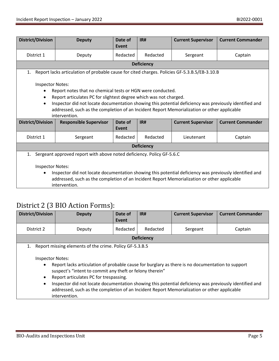| <b>District/Division</b>                                                                                                                                                                                                                                                                                                                                                                          | <b>Deputy</b>                                                                                                     | Date of<br>Event | IR#               | <b>Current Supervisor</b> | <b>Current Commander</b> |  |
|---------------------------------------------------------------------------------------------------------------------------------------------------------------------------------------------------------------------------------------------------------------------------------------------------------------------------------------------------------------------------------------------------|-------------------------------------------------------------------------------------------------------------------|------------------|-------------------|---------------------------|--------------------------|--|
| District 1                                                                                                                                                                                                                                                                                                                                                                                        | Deputy                                                                                                            | Redacted         | Redacted          | Sergeant                  | Captain                  |  |
|                                                                                                                                                                                                                                                                                                                                                                                                   |                                                                                                                   |                  | <b>Deficiency</b> |                           |                          |  |
| 1.                                                                                                                                                                                                                                                                                                                                                                                                | Report lacks articulation of probable cause for cited charges. Policies GF-5.3.B.5/EB-3.10.B                      |                  |                   |                           |                          |  |
| <b>Inspector Notes:</b><br>Report notes that no chemical tests or HGN were conducted.<br>Report articulates PC for slightest degree which was not charged.<br>Inspector did not locate documentation showing this potential deficiency was previously identified and<br>$\bullet$<br>addressed, such as the completion of an Incident Report Memorialization or other applicable<br>intervention. |                                                                                                                   |                  |                   |                           |                          |  |
| <b>District/Division</b>                                                                                                                                                                                                                                                                                                                                                                          | <b>Current Commander</b><br><b>Responsible Supervisor</b><br>Date of<br>IR#<br><b>Current Supervisor</b><br>Event |                  |                   |                           |                          |  |
| District 1                                                                                                                                                                                                                                                                                                                                                                                        | Sergeant                                                                                                          | Redacted         | Redacted          | Lieutenant                | Captain                  |  |
| <b>Deficiency</b>                                                                                                                                                                                                                                                                                                                                                                                 |                                                                                                                   |                  |                   |                           |                          |  |
| Sergeant approved report with above noted deficiency. Policy GF-5.6.C<br>1.<br><b>Inspector Notes:</b><br>Inspector did not locate documentation showing this potential deficiency was previously identified and<br>$\bullet$<br>addressed, such as the completion of an Incident Report Memorialization or other applicable<br>intervention.                                                     |                                                                                                                   |                  |                   |                           |                          |  |

## District 2 (3 BIO Action Forms):

| <b>District/Division</b>                                             | <b>Deputy</b>                                                                                                                                                                                                                                                                                                                                                                                                                                                                               | Date of<br>Event | IR#               | <b>Current Supervisor</b> | <b>Current Commander</b> |
|----------------------------------------------------------------------|---------------------------------------------------------------------------------------------------------------------------------------------------------------------------------------------------------------------------------------------------------------------------------------------------------------------------------------------------------------------------------------------------------------------------------------------------------------------------------------------|------------------|-------------------|---------------------------|--------------------------|
| District 2                                                           | Deputy                                                                                                                                                                                                                                                                                                                                                                                                                                                                                      | Redacted         | Redacted          | Sergeant                  | Captain                  |
|                                                                      |                                                                                                                                                                                                                                                                                                                                                                                                                                                                                             |                  | <b>Deficiency</b> |                           |                          |
| 1.<br><b>Inspector Notes:</b><br>$\bullet$<br>$\bullet$<br>$\bullet$ | Report missing elements of the crime. Policy GF-5.3.B.5<br>Report lacks articulation of probable cause for burglary as there is no documentation to support<br>suspect's "intent to commit any theft or felony therein"<br>Report articulates PC for trespassing.<br>Inspector did not locate documentation showing this potential deficiency was previously identified and<br>addressed, such as the completion of an Incident Report Memorialization or other applicable<br>intervention. |                  |                   |                           |                          |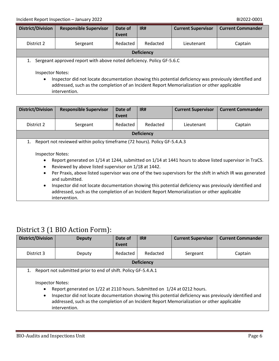| <b>District/Division</b>                                                                                                                       | <b>Responsible Supervisor</b> | Date of<br>Event | IR#      | <b>Current Supervisor</b> | <b>Current Commander</b> |
|------------------------------------------------------------------------------------------------------------------------------------------------|-------------------------------|------------------|----------|---------------------------|--------------------------|
| District 2                                                                                                                                     | Sergeant                      | Redacted         | Redacted | Lieutenant                | Captain                  |
| <b>Deficiency</b>                                                                                                                              |                               |                  |          |                           |                          |
| Sergeant approved report with above noted deficiency. Policy GF-5.6.C                                                                          |                               |                  |          |                           |                          |
| <b>Inspector Notes:</b><br>Inspector did not locate documentation showing this potential deficiency was previously identified and<br>$\bullet$ |                               |                  |          |                           |                          |

addressed, such as the completion of an Incident Report Memorialization or other applicable intervention.

| <b>District/Division</b>                                                    | <b>Responsible Supervisor</b>                                                                                                                                                                                                                                                                                                                                                                                                                                                                                            | Date of<br>Event | IR#      | <b>Current Supervisor</b> | <b>Current Commander</b> |  |
|-----------------------------------------------------------------------------|--------------------------------------------------------------------------------------------------------------------------------------------------------------------------------------------------------------------------------------------------------------------------------------------------------------------------------------------------------------------------------------------------------------------------------------------------------------------------------------------------------------------------|------------------|----------|---------------------------|--------------------------|--|
| District 2                                                                  | Sergeant                                                                                                                                                                                                                                                                                                                                                                                                                                                                                                                 | Redacted         | Redacted | Lieutenant                | Captain                  |  |
| <b>Deficiency</b>                                                           |                                                                                                                                                                                                                                                                                                                                                                                                                                                                                                                          |                  |          |                           |                          |  |
| 1.                                                                          | Report not reviewed within policy timeframe (72 hours). Policy GF-5.4.A.3                                                                                                                                                                                                                                                                                                                                                                                                                                                |                  |          |                           |                          |  |
| <b>Inspector Notes:</b><br>$\bullet$<br>$\bullet$<br>$\bullet$<br>$\bullet$ | Report generated on 1/14 at 1244, submitted on 1/14 at 1441 hours to above listed supervisor in TraCS.<br>Reviewed by above listed supervisor on 1/18 at 1442.<br>Per Praxis, above listed supervisor was one of the two supervisors for the shift in which IR was generated<br>and submitted.<br>Inspector did not locate documentation showing this potential deficiency was previously identified and<br>addressed, such as the completion of an Incident Report Memorialization or other applicable<br>intervention. |                  |          |                           |                          |  |

### District 3 (1 BIO Action Form):

| <b>District/Division</b>                                                                                                                                                                                                                                                                                                                                                                                                       | <b>Deputy</b> | Date of<br>Event | IR#               | <b>Current Supervisor</b> | <b>Current Commander</b> |
|--------------------------------------------------------------------------------------------------------------------------------------------------------------------------------------------------------------------------------------------------------------------------------------------------------------------------------------------------------------------------------------------------------------------------------|---------------|------------------|-------------------|---------------------------|--------------------------|
| District 3                                                                                                                                                                                                                                                                                                                                                                                                                     | Deputy        | Redacted         | Redacted          | Sergeant                  | Captain                  |
|                                                                                                                                                                                                                                                                                                                                                                                                                                |               |                  | <b>Deficiency</b> |                           |                          |
| Report not submitted prior to end of shift. Policy GF-5.4.A.1<br>1.<br><b>Inspector Notes:</b><br>Report generated on 1/22 at 2110 hours. Submitted on 1/24 at 0212 hours.<br>$\bullet$<br>Inspector did not locate documentation showing this potential deficiency was previously identified and<br>$\bullet$<br>addressed, such as the completion of an Incident Report Memorialization or other applicable<br>intervention. |               |                  |                   |                           |                          |